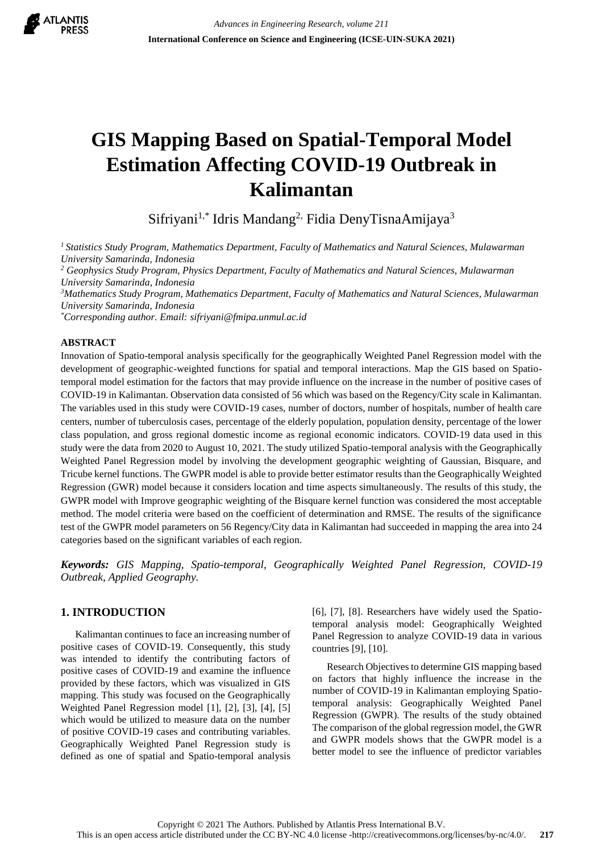

# **GIS Mapping Based on Spatial-Temporal Model Estimation Affecting COVID-19 Outbreak in Kalimantan**

Sifriyani<sup>1,\*</sup> Idris Mandang<sup>2,</sup> Fidia DenyTisnaAmijaya<sup>3</sup>

*<sup>1</sup>Statistics Study Program, Mathematics Department, Faculty of Mathematics and Natural Sciences, Mulawarman University Samarinda, Indonesia*

*<sup>2</sup> Geophysics Study Program, Physics Department, Faculty of Mathematics and Natural Sciences, Mulawarman University Samarinda, Indonesia*

*<sup>3</sup>Mathematics Study Program, Mathematics Department, Faculty of Mathematics and Natural Sciences, Mulawarman University Samarinda, Indonesia*

*\*Corresponding author. Email: sifriyani@fmipa.unmul.ac.id*

## **ABSTRACT**

Innovation of Spatio-temporal analysis specifically for the geographically Weighted Panel Regression model with the development of geographic-weighted functions for spatial and temporal interactions. Map the GIS based on Spatiotemporal model estimation for the factors that may provide influence on the increase in the number of positive cases of COVID-19 in Kalimantan. Observation data consisted of 56 which was based on the Regency/City scale in Kalimantan. The variables used in this study were COVID-19 cases, number of doctors, number of hospitals, number of health care centers, number of tuberculosis cases, percentage of the elderly population, population density, percentage of the lower class population, and gross regional domestic income as regional economic indicators. COVID-19 data used in this study were the data from 2020 to August 10, 2021. The study utilized Spatio-temporal analysis with the Geographically Weighted Panel Regression model by involving the development geographic weighting of Gaussian, Bisquare, and Tricube kernel functions. The GWPR model is able to provide better estimator results than the Geographically Weighted Regression (GWR) model because it considers location and time aspects simultaneously. The results of this study, the GWPR model with Improve geographic weighting of the Bisquare kernel function was considered the most acceptable method. The model criteria were based on the coefficient of determination and RMSE. The results of the significance test of the GWPR model parameters on 56 Regency/City data in Kalimantan had succeeded in mapping the area into 24 categories based on the significant variables of each region.

*Keywords: GIS Mapping, Spatio-temporal, Geographically Weighted Panel Regression, COVID-19 Outbreak, Applied Geography.*

# **1. INTRODUCTION**

Kalimantan continues to face an increasing number of positive cases of COVID-19. Consequently, this study was intended to identify the contributing factors of positive cases of COVID-19 and examine the influence provided by these factors, which was visualized in GIS mapping. This study was focused on the Geographically Weighted Panel Regression model [1], [2], [3], [4], [5] which would be utilized to measure data on the number of positive COVID-19 cases and contributing variables. Geographically Weighted Panel Regression study is defined as one of spatial and Spatio-temporal analysis [6], [7], [8]. Researchers have widely used the Spatiotemporal analysis model: Geographically Weighted Panel Regression to analyze COVID-19 data in various countries [9], [10].

Research Objectives to determine GIS mapping based on factors that highly influence the increase in the number of COVID-19 in Kalimantan employing Spatiotemporal analysis: Geographically Weighted Panel Regression (GWPR). The results of the study obtained The comparison of the global regression model, the GWR and GWPR models shows that the GWPR model is a better model to see the influence of predictor variables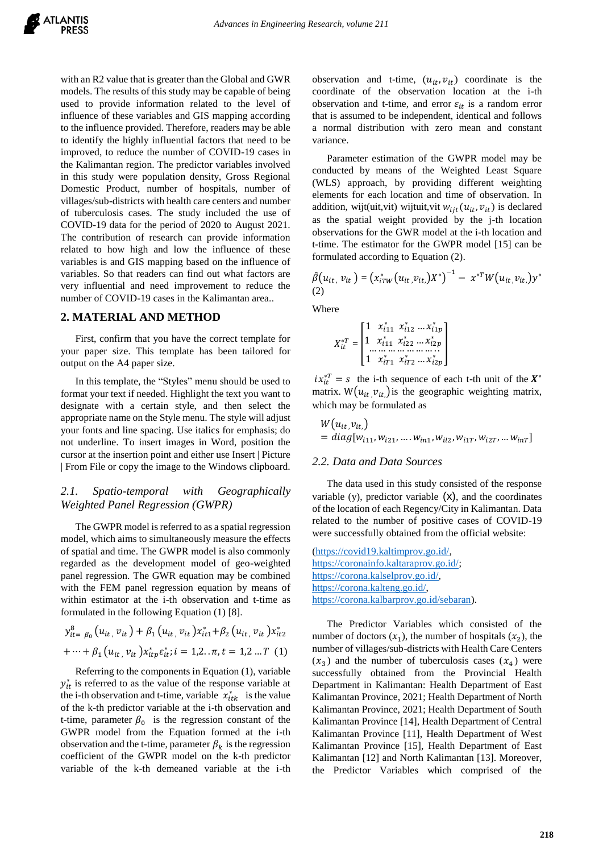with an R2 value that is greater than the Global and GWR models. The results of this study may be capable of being used to provide information related to the level of influence of these variables and GIS mapping according to the influence provided. Therefore, readers may be able to identify the highly influential factors that need to be improved, to reduce the number of COVID-19 cases in the Kalimantan region. The predictor variables involved in this study were population density, Gross Regional Domestic Product, number of hospitals, number of villages/sub-districts with health care centers and number of tuberculosis cases. The study included the use of COVID-19 data for the period of 2020 to August 2021. The contribution of research can provide information related to how high and low the influence of these variables is and GIS mapping based on the influence of variables. So that readers can find out what factors are very influential and need improvement to reduce the number of COVID-19 cases in the Kalimantan area..

## **2. MATERIAL AND METHOD**

First, confirm that you have the correct template for your paper size. This template has been tailored for output on the A4 paper size.

In this template, the "Styles" menu should be used to format your text if needed. Highlight the text you want to designate with a certain style, and then select the appropriate name on the Style menu. The style will adjust your fonts and line spacing. Use italics for emphasis; do not underline. To insert images in Word, position the cursor at the insertion point and either use Insert | Picture | From File or copy the image to the Windows clipboard.

# *2.1. Spatio-temporal with Geographically Weighted Panel Regression (GWPR)*

The GWPR model is referred to as a spatial regression model, which aims to simultaneously measure the effects of spatial and time. The GWPR model is also commonly regarded as the development model of geo-weighted panel regression. The GWR equation may be combined with the FEM panel regression equation by means of within estimator at the i-th observation and t-time as formulated in the following Equation (1) [8].

$$
y_{it=~\beta_0}^8 (u_{it}, v_{it}) + \beta_1 (u_{it}, v_{it}) x_{it}^* + \beta_2 (u_{it}, v_{it}) x_{it2}^* + \cdots + \beta_1 (u_{it}, v_{it}) x_{itp}^* \varepsilon_{it}^*; i = 1, 2 \dots \pi, t = 1, 2 \dots T
$$
 (1)

Referring to the components in Equation (1), variable  $y_{it}^*$  is referred to as the value of the response variable at the i-th observation and t-time, variable  $x_{itk}^*$  is the value of the k-th predictor variable at the i-th observation and t-time, parameter  $\beta_0$  is the regression constant of the GWPR model from the Equation formed at the i-th observation and the t-time, parameter  $\beta_k$  is the regression coefficient of the GWPR model on the k-th predictor variable of the k-th demeaned variable at the i-th

observation and t-time,  $(u_{it}, v_{it})$  coordinate is the coordinate of the observation location at the i-th observation and t-time, and error  $\varepsilon_{it}$  is a random error that is assumed to be independent, identical and follows a normal distribution with zero mean and constant variance.

Parameter estimation of the GWPR model may be conducted by means of the Weighted Least Square (WLS) approach, by providing different weighting elements for each location and time of observation. In addition, wijt(uit, vit) wijtuit, vit  $w_{ijt}(u_{it}, v_{it})$  is declared as the spatial weight provided by the j-th location observations for the GWR model at the i-th location and t-time. The estimator for the GWPR model [15] can be formulated according to Equation (2).

$$
\hat{\beta}(u_{it}, v_{it}) = (x_{iTW}^*(u_{it}, v_{it.})X^*)^{-1} - x^{*T}W(u_{it}, v_{it.})y^*
$$
\n(2)

**Where** 

$$
X_{it}^{*T} = \begin{bmatrix} 1 & x_{i11}^* & x_{i12}^* \dots x_{i1p}^* \\ 1 & x_{i11}^* & x_{i22}^* \dots x_{i2p}^* \\ \dots & \dots & \dots & \dots \\ 1 & x_{iT1}^* & x_{iT2}^* \dots x_{i2p}^* \end{bmatrix}
$$

 $ix_{it}^{*T} = s$  the i-th sequence of each t-th unit of the  $X^*$ matrix.  $W(u_{it},v_{it})$  is the geographic weighting matrix, which may be formulated as

$$
W(u_{it}, v_{it})
$$
  
= diag[w<sub>i11</sub>, w<sub>i21</sub>, ..., w<sub>in1</sub>, w<sub>il2</sub>, w<sub>i1T</sub>, w<sub>i2T</sub>, ..., w<sub>inT</sub>]

#### *2.2. Data and Data Sources*

The data used in this study consisted of the response variable  $(y)$ , predictor variable  $(x)$ , and the coordinates of the location of each Regency/City in Kalimantan. Data related to the number of positive cases of COVID-19 were successfully obtained from the official website:

[\(https://covid19.kaltimprov.go.id/,](https://covid19.kaltimprov.go.id/) [https://coronainfo.kaltaraprov.go.id/;](https://coronainfo.kaltaraprov.go.id/) [https://corona.kalselprov.go.id/,](https://corona.kalselprov.go.id/) [https://corona.kalteng.go.id/,](https://corona.kalteng.go.id/) [https://corona.kalbarprov.go.id/sebaran\)](https://corona.kalbarprov.go.id/sebaran).

The Predictor Variables which consisted of the number of doctors  $(x_1)$ , the number of hospitals  $(x_2)$ , the number of villages/sub-districts with Health Care Centers  $(x_3)$  and the number of tuberculosis cases  $(x_4)$  were successfully obtained from the Provincial Health Department in Kalimantan: Health Department of East Kalimantan Province, 2021; Health Department of North Kalimantan Province, 2021; Health Department of South Kalimantan Province [14], Health Department of Central Kalimantan Province [11], Health Department of West Kalimantan Province [15], Health Department of East Kalimantan [12] and North Kalimantan [13]. Moreover, the Predictor Variables which comprised of the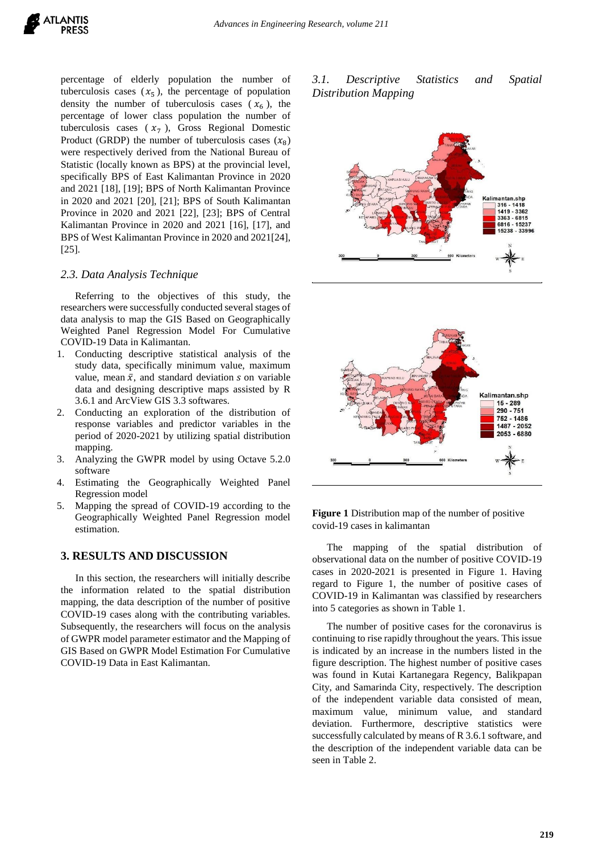percentage of elderly population the number of tuberculosis cases  $(x_5)$ , the percentage of population density the number of tuberculosis cases  $(x_6)$ , the percentage of lower class population the number of tuberculosis cases  $(x_7)$ , Gross Regional Domestic Product (GRDP) the number of tuberculosis cases  $(x_8)$ were respectively derived from the National Bureau of Statistic (locally known as BPS) at the provincial level, specifically BPS of East Kalimantan Province in 2020 and 2021 [18], [19]; BPS of North Kalimantan Province in 2020 and 2021 [20], [21]; BPS of South Kalimantan Province in 2020 and 2021 [22], [23]; BPS of Central Kalimantan Province in 2020 and 2021 [16], [17], and BPS of West Kalimantan Province in 2020 and 2021[24], [25].

## *2.3. Data Analysis Technique*

Referring to the objectives of this study, the researchers were successfully conducted several stages of data analysis to map the GIS Based on Geographically Weighted Panel Regression Model For Cumulative COVID-19 Data in Kalimantan.

- 1. Conducting descriptive statistical analysis of the study data, specifically minimum value, maximum value, mean  $\bar{x}$ , and standard deviation s on variable data and designing descriptive maps assisted by R 3.6.1 and ArcView GIS 3.3 softwares.
- 2. Conducting an exploration of the distribution of response variables and predictor variables in the period of 2020-2021 by utilizing spatial distribution mapping.
- 3. Analyzing the GWPR model by using Octave 5.2.0 software
- 4. Estimating the Geographically Weighted Panel Regression model
- 5. Mapping the spread of COVID-19 according to the Geographically Weighted Panel Regression model estimation.

## **3. RESULTS AND DISCUSSION**

In this section, the researchers will initially describe the information related to the spatial distribution mapping, the data description of the number of positive COVID-19 cases along with the contributing variables. Subsequently, the researchers will focus on the analysis of GWPR model parameter estimator and the Mapping of GIS Based on GWPR Model Estimation For Cumulative COVID-19 Data in East Kalimantan.







**Figure 1** Distribution map of the number of positive covid-19 cases in kalimantan

The mapping of the spatial distribution of observational data on the number of positive COVID-19 cases in 2020-2021 is presented in Figure 1. Having regard to Figure 1, the number of positive cases of COVID-19 in Kalimantan was classified by researchers into 5 categories as shown in Table 1.

The number of positive cases for the coronavirus is continuing to rise rapidly throughout the years. This issue is indicated by an increase in the numbers listed in the figure description. The highest number of positive cases was found in Kutai Kartanegara Regency, Balikpapan City, and Samarinda City, respectively. The description of the independent variable data consisted of mean, maximum value, minimum value, and standard deviation. Furthermore, descriptive statistics were successfully calculated by means of R 3.6.1 software, and the description of the independent variable data can be seen in Table 2.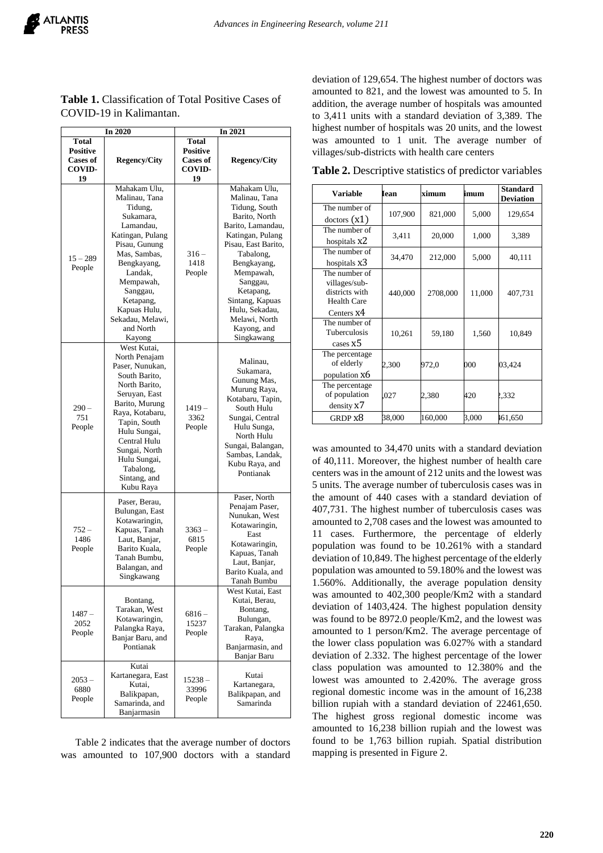| In 2020                                                                   |                                                                                                                                                                                                                                                                    | In 2021                                                            |                                                                                                                                                                                                                                                                                      |  |
|---------------------------------------------------------------------------|--------------------------------------------------------------------------------------------------------------------------------------------------------------------------------------------------------------------------------------------------------------------|--------------------------------------------------------------------|--------------------------------------------------------------------------------------------------------------------------------------------------------------------------------------------------------------------------------------------------------------------------------------|--|
| <b>Total</b><br><b>Positive</b><br><b>Cases of</b><br><b>COVID-</b><br>19 | <b>Regency/City</b>                                                                                                                                                                                                                                                | <b>Total</b><br>Positive<br><b>Cases of</b><br><b>COVID-</b><br>19 | <b>Regency/City</b>                                                                                                                                                                                                                                                                  |  |
| $15 - 289$<br>People                                                      | Mahakam Ulu,<br>Malinau, Tana<br>Tidung,<br>Sukamara,<br>Lamandau,<br>Katingan, Pulang<br>Pisau, Gunung<br>Mas, Sambas,<br>Bengkayang,<br>Landak,<br>Mempawah,<br>Sanggau,<br>Ketapang,<br>Kapuas Hulu,<br>Sekadau, Melawi,<br>and North<br>Kayong                 | $316 -$<br>1418<br>People                                          | Mahakam Ulu,<br>Malinau, Tana<br>Tidung, South<br>Barito, North<br>Barito, Lamandau,<br>Katingan, Pulang<br>Pisau, East Barito,<br>Tabalong,<br>Bengkayang,<br>Mempawah,<br>Sanggau,<br>Ketapang,<br>Sintang, Kapuas<br>Hulu, Sekadau,<br>Melawi, North<br>Kayong, and<br>Singkawang |  |
| $290-$<br>751<br>People                                                   | West Kutai,<br>North Penajam<br>Paser, Nunukan,<br>South Barito,<br>North Barito,<br>Seruyan, East<br>Barito, Murung<br>Raya, Kotabaru,<br>Tapin, South<br>Hulu Sungai,<br>Central Hulu<br>Sungai, North<br>Hulu Sungai,<br>Tabalong,<br>Sintang, and<br>Kubu Raya | $1419-$<br>3362<br>People                                          | Malinau,<br>Sukamara,<br>Gunung Mas,<br>Murung Raya,<br>Kotabaru, Tapin,<br>South Hulu<br>Sungai, Central<br>Hulu Sunga,<br>North Hulu<br>Sungai, Balangan,<br>Sambas, Landak,<br>Kubu Raya, and<br>Pontianak                                                                        |  |
| 752 –<br>1486<br>People                                                   | Paser, Berau,<br>Bulungan, East<br>Kotawaringin,<br>Kapuas, Tanah<br>Laut, Banjar,<br>Barito Kuala,<br>Tanah Bumbu,<br>Balangan, and<br>Singkawang                                                                                                                 | $3363 -$<br>6815<br>People                                         | Paser, North<br>Penajam Paser,<br>Nunukan, West<br>Kotawaringin,<br>East<br>Kotawaringin,<br>Kapuas, Tanah<br>Laut, Banjar,<br>Barito Kuala, and<br>Tanah Bumbu                                                                                                                      |  |
| 1487 –<br>2052<br>People                                                  | Bontang,<br>Tarakan, West<br>Kotawaringin,<br>Palangka Raya,<br>Banjar Baru, and<br>Pontianak                                                                                                                                                                      | 6816 –<br>15237<br>People                                          | West Kutai, East<br>Kutai, Berau,<br>Bontang,<br>Bulungan,<br>Tarakan, Palangka<br>Raya,<br>Banjarmasin, and<br>Banjar Baru                                                                                                                                                          |  |
| 2053 –<br>6880<br>People                                                  | Kutai<br>Kartanegara, East<br>Kutai,<br>Balikpapan,<br>Samarinda, and<br>Banjarmasin                                                                                                                                                                               | $15238 -$<br>33996<br>People                                       | Kutai<br>Kartanegara,<br>Balikpapan, and<br>Samarinda                                                                                                                                                                                                                                |  |

**Table 1.** Classification of Total Positive Cases of COVID-19 in Kalimantan.

Table 2 indicates that the average number of doctors was amounted to 107,900 doctors with a standard deviation of 129,654. The highest number of doctors was amounted to 821, and the lowest was amounted to 5. In addition, the average number of hospitals was amounted to 3,411 units with a standard deviation of 3,389. The highest number of hospitals was 20 units, and the lowest was amounted to 1 unit. The average number of villages/sub-districts with health care centers

| <b>Variable</b>                                                                      | <b>Jean</b> | ximum    | imum   | <b>Standard</b><br><b>Deviation</b> |
|--------------------------------------------------------------------------------------|-------------|----------|--------|-------------------------------------|
| The number of<br>dotors (x1)                                                         | 107,900     | 821,000  | 5,000  | 129,654                             |
| The number of<br>hospitals X2                                                        | 3,411       | 20,000   | 1,000  | 3,389                               |
| The number of<br>hospitals x3                                                        | 34,470      | 212,000  | 5,000  | 40,111                              |
| The number of<br>villages/sub-<br>districts with<br><b>Health Care</b><br>Centers X4 | 440,000     | 2708,000 | 11,000 | 407,731                             |
| The number of<br>Tuberculosis<br>cases x5                                            | 10,261      | 59,180   | 1,560  | 10,849                              |
| The percentage<br>of elderly<br>population X6                                        | 2,300       | 972,0    | 000    | 03,424                              |
| The percentage<br>of population<br>density X7                                        | 027         | 2,380    | 420    | 1,332                               |
| GRDP x8                                                                              | 38,000      | 160,000  | 3,000  | 161,650                             |

**Table 2.** Descriptive statistics of predictor variables

was amounted to 34,470 units with a standard deviation of 40,111. Moreover, the highest number of health care centers was in the amount of 212 units and the lowest was 5 units. The average number of tuberculosis cases was in the amount of 440 cases with a standard deviation of 407,731. The highest number of tuberculosis cases was amounted to 2,708 cases and the lowest was amounted to 11 cases. Furthermore, the percentage of elderly population was found to be 10.261% with a standard deviation of 10,849. The highest percentage of the elderly population was amounted to 59.180% and the lowest was 1.560%. Additionally, the average population density was amounted to 402,300 people/Km2 with a standard deviation of 1403,424. The highest population density was found to be 8972.0 people/Km2, and the lowest was amounted to 1 person/Km2. The average percentage of the lower class population was 6.027% with a standard deviation of 2.332. The highest percentage of the lower class population was amounted to 12.380% and the lowest was amounted to 2.420%. The average gross regional domestic income was in the amount of 16,238 billion rupiah with a standard deviation of 22461,650. The highest gross regional domestic income was amounted to 16,238 billion rupiah and the lowest was found to be 1,763 billion rupiah. Spatial distribution mapping is presented in Figure 2.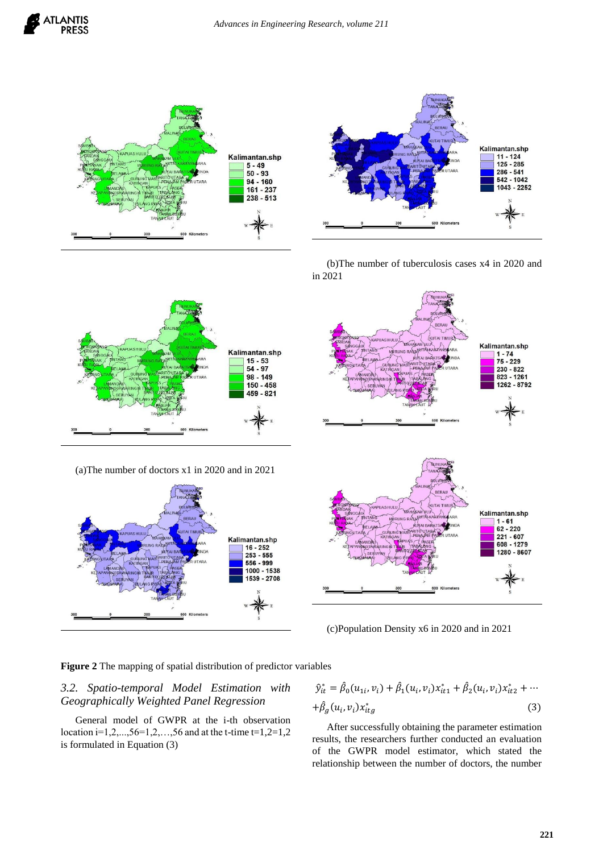





(b)The number of tuberculosis cases x4 in 2020 and in 2021



(a)The number of doctors x1 in 2020 and in 2021





(c)Population Density x6 in 2020 and in 2021

**Figure 2** The mapping of spatial distribution of predictor variables

# *3.2. Spatio-temporal Model Estimation with Geographically Weighted Panel Regression*

General model of GWPR at the i-th observation location i=1,2,...,56=1,2,...,56 and at the t-time t=1,2=1,2 is formulated in Equation (3)

$$
\hat{y}_{it}^{*} = \hat{\beta}_{0}(u_{1i}, v_{i}) + \hat{\beta}_{1}(u_{i}, v_{i})x_{it1}^{*} + \hat{\beta}_{2}(u_{i}, v_{i})x_{it2}^{*} + \cdots
$$

$$
+ \hat{\beta}_{g}(u_{i}, v_{i})x_{itg}^{*}
$$
(3)

After successfully obtaining the parameter estimation results, the researchers further conducted an evaluation of the GWPR model estimator, which stated the relationship between the number of doctors, the number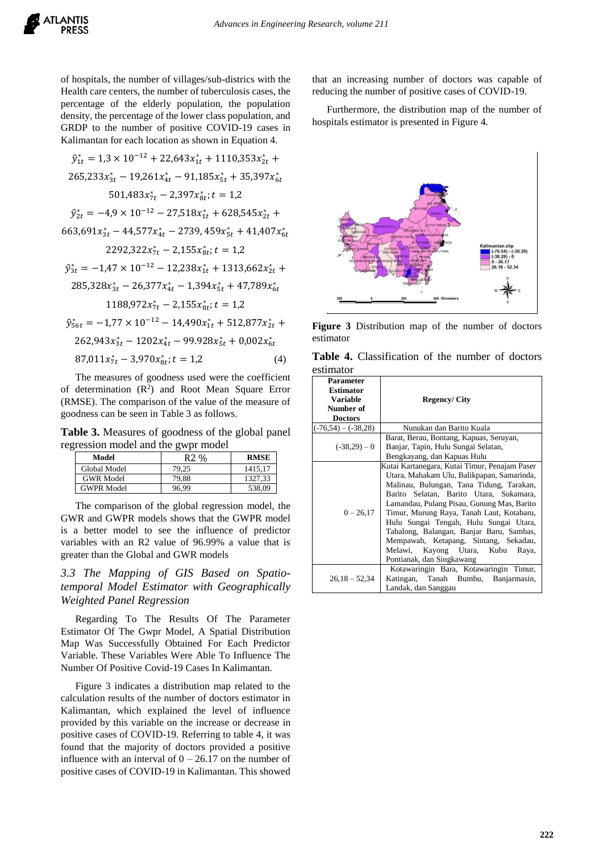

of hospitals, the number of villages/sub-districs with the Health care centers, the number of tuberculosis cases, the percentage of the elderly population, the population density, the percentage of the lower class population, and GRDP to the number of positive COVID-19 cases in Kalimantan for each location as shown in Equation 4.

$$
\hat{y}_{1t}^{*} = 1,3 \times 10^{-12} + 22,643x_{1t}^{*} + 1110,353x_{2t}^{*} + 265,233x_{3t}^{*} - 19,261x_{4t}^{*} - 91,185x_{5t}^{*} + 35,397x_{6t}^{*}
$$
\n
$$
501,483x_{7t}^{*} - 2,397x_{8t}^{*}; t = 1,2
$$
\n
$$
\hat{y}_{2t}^{*} = -4,9 \times 10^{-12} - 27,518x_{1t}^{*} + 628,545x_{2t}^{*} + 663,691x_{3t}^{*} - 44,577x_{4t}^{*} - 2739,459x_{5t}^{*} + 41,407x_{6t}^{*}
$$
\n
$$
2292,322x_{7t}^{*} - 2,155x_{8t}^{*}; t = 1,2
$$
\n
$$
\hat{y}_{3t}^{*} = -1,47 \times 10^{-12} - 12,238x_{1t}^{*} + 1313,662x_{2t}^{*} + 285,328x_{3t}^{*} - 26,377x_{4t}^{*} - 1,394x_{5t}^{*} + 47,789x_{6t}^{*}
$$
\n
$$
1188,972x_{7t}^{*} - 2,155x_{8t}^{*}; t = 1,2
$$
\n
$$
\hat{y}_{56t}^{*} = -1,77 \times 10^{-12} - 14,490x_{1t}^{*} + 512,877x_{2t}^{*} + 262,943x_{3t}^{*} - 1202x_{4t}^{*} - 99,928x_{5t}^{*} + 0,002x_{6t}^{*}
$$
\n
$$
87,011x_{7t}^{*} - 3,970x_{8t}^{*}; t = 1,2
$$
\n
$$
(4)
$$

The measures of goodness used were the coefficient of determination  $(R^2)$  and Root Mean Square Error (RMSE). The comparison of the value of the measure of goodness can be seen in Table 3 as follows.

**Table 3.** Measures of goodness of the global panel regression model and the gwpr model

| Model             | R <sub>2</sub> % | <b>RMSE</b> |
|-------------------|------------------|-------------|
| Global Model      | 79.25            | 1415.17     |
| <b>GWR</b> Model  | 79.88            | 1327.33     |
| <b>GWPR Model</b> | 96.99            | 538.09      |

The comparison of the global regression model, the GWR and GWPR models shows that the GWPR model is a better model to see the influence of predictor variables with an R2 value of 96.99% a value that is greater than the Global and GWR models

# *3.3 The Mapping of GIS Based on Spatiotemporal Model Estimator with Geographically Weighted Panel Regression*

Regarding To The Results Of The Parameter Estimator Of The Gwpr Model, A Spatial Distribution Map Was Successfully Obtained For Each Predictor Variable. These Variables Were Able To Influence The Number Of Positive Covid-19 Cases In Kalimantan.

Figure 3 indicates a distribution map related to the calculation results of the number of doctors estimator in Kalimantan, which explained the level of influence provided by this variable on the increase or decrease in positive cases of COVID-19. Referring to table 4, it was found that the majority of doctors provided a positive influence with an interval of  $0 - 26.17$  on the number of positive cases of COVID-19 in Kalimantan. This showed that an increasing number of doctors was capable of reducing the number of positive cases of COVID-19.

Furthermore, the distribution map of the number of hospitals estimator is presented in Figure 4.



**Figure 3** Distribution map of the number of doctors estimator

|           | Table 4. Classification of the number of doctors |  |  |
|-----------|--------------------------------------------------|--|--|
| estimator |                                                  |  |  |

| <b>Parameter</b><br><b>Estimator</b><br><b>Variable</b><br>Number of<br><b>Doctors</b> | <b>Regency/City</b>                                                                                                                                                                                                                                                                                                                                                                                                                                                              |
|----------------------------------------------------------------------------------------|----------------------------------------------------------------------------------------------------------------------------------------------------------------------------------------------------------------------------------------------------------------------------------------------------------------------------------------------------------------------------------------------------------------------------------------------------------------------------------|
| $(-76,54) - (-38,28)$                                                                  | Nunukan dan Barito Kuala                                                                                                                                                                                                                                                                                                                                                                                                                                                         |
| $(-38,29)-0$                                                                           | Barat, Berau, Bontang, Kapuas, Seruyan,<br>Banjar, Tapin, Hulu Sungai Selatan,<br>Bengkayang, dan Kapuas Hulu                                                                                                                                                                                                                                                                                                                                                                    |
| $0 - 26,17$                                                                            | Kutai Kartanegara, Kutai Timur, Penajam Paser<br>Utara, Mahakam Ulu, Balikpapan, Samarinda,<br>Malinau, Bulungan, Tana Tidung, Tarakan,<br>Barito Selatan, Barito Utara, Sukamara,<br>Lamandau, Pulang Pisau, Gunung Mas, Barito<br>Timur, Murung Raya, Tanah Laut, Kotabaru,<br>Hulu Sungai Tengah, Hulu Sungai Utara,<br>Tabalong, Balangan, Banjar Baru, Sambas,<br>Mempawah, Ketapang, Sintang, Sekadau,<br>Melawi, Kayong Utara, Kubu<br>Raya,<br>Pontianak, dan Singkawang |
| $26.18 - 52.34$                                                                        | Kotawaringin Bara, Kotawaringin Timur,<br>Katingan, Tanah Bumbu, Banjarmasin,<br>Landak, dan Sanggau                                                                                                                                                                                                                                                                                                                                                                             |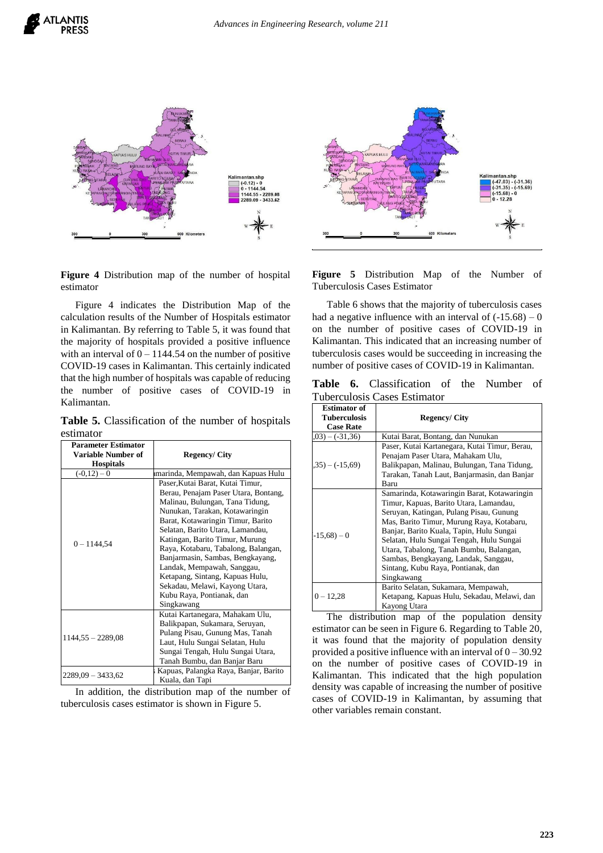



**Figure 4** Distribution map of the number of hospital estimator

Figure 4 indicates the Distribution Map of the calculation results of the Number of Hospitals estimator in Kalimantan. By referring to Table 5, it was found that the majority of hospitals provided a positive influence with an interval of  $0 - 1144.54$  on the number of positive COVID-19 cases in Kalimantan. This certainly indicated that the high number of hospitals was capable of reducing the number of positive cases of COVID-19 in Kalimantan.

**Table 5.** Classification of the number of hospitals estimator

| <b>Parameter Estimator</b><br>Variable Number of<br><b>Hospitals</b> | <b>Regency/City</b>                                                                                                                                                                                                                                                                                                                                                                                                                                                               |  |
|----------------------------------------------------------------------|-----------------------------------------------------------------------------------------------------------------------------------------------------------------------------------------------------------------------------------------------------------------------------------------------------------------------------------------------------------------------------------------------------------------------------------------------------------------------------------|--|
| $(-0,12)-0$                                                          | marinda, Mempawah, dan Kapuas Hulu                                                                                                                                                                                                                                                                                                                                                                                                                                                |  |
| $0 - 1144,54$                                                        | Paser, Kutai Barat, Kutai Timur,<br>Berau, Penajam Paser Utara, Bontang,<br>Malinau, Bulungan, Tana Tidung,<br>Nunukan, Tarakan, Kotawaringin<br>Barat, Kotawaringin Timur, Barito<br>Selatan, Barito Utara, Lamandau,<br>Katingan, Barito Timur, Murung<br>Raya, Kotabaru, Tabalong, Balangan,<br>Banjarmasin, Sambas, Bengkayang,<br>Landak, Mempawah, Sanggau,<br>Ketapang, Sintang, Kapuas Hulu,<br>Sekadau, Melawi, Kayong Utara,<br>Kubu Raya, Pontianak, dan<br>Singkawang |  |
| $1144,55 - 2289,08$                                                  | Kutai Kartanegara, Mahakam Ulu,<br>Balikpapan, Sukamara, Seruyan,<br>Pulang Pisau, Gunung Mas, Tanah<br>Laut, Hulu Sungai Selatan, Hulu<br>Sungai Tengah, Hulu Sungai Utara,<br>Tanah Bumbu, dan Banjar Baru                                                                                                                                                                                                                                                                      |  |
| 2289,09 - 3433,62                                                    | Kapuas, Palangka Raya, Banjar, Barito<br>Kuala, dan Tapi                                                                                                                                                                                                                                                                                                                                                                                                                          |  |

In addition, the distribution map of the number of tuberculosis cases estimator is shown in Figure 5.



**Figure 5** Distribution Map of the Number of Tuberculosis Cases Estimator

Table 6 shows that the majority of tuberculosis cases had a negative influence with an interval of  $(-15.68) - 0$ on the number of positive cases of COVID-19 in Kalimantan. This indicated that an increasing number of tuberculosis cases would be succeeding in increasing the number of positive cases of COVID-19 in Kalimantan.

**Table 6.** Classification of the Number of Tuberculosis Cases Estimator

| <b>Estimator of</b><br>Tuberculosis<br><b>Case Rate</b> | <b>Regency/City</b>                                                                                                                                                                                                                                                                                                                                                                                          |
|---------------------------------------------------------|--------------------------------------------------------------------------------------------------------------------------------------------------------------------------------------------------------------------------------------------------------------------------------------------------------------------------------------------------------------------------------------------------------------|
| $(03) - (-31,36)$                                       | Kutai Barat, Bontang, dan Nunukan                                                                                                                                                                                                                                                                                                                                                                            |
| $(35) - (-15,69)$                                       | Paser, Kutai Kartanegara, Kutai Timur, Berau,<br>Penajam Paser Utara, Mahakam Ulu,<br>Balikpapan, Malinau, Bulungan, Tana Tidung,<br>Tarakan, Tanah Laut, Banjarmasin, dan Banjar<br>Baru                                                                                                                                                                                                                    |
| $-15,68$ ) – 0                                          | Samarinda, Kotawaringin Barat, Kotawaringin<br>Timur, Kapuas, Barito Utara, Lamandau,<br>Seruyan, Katingan, Pulang Pisau, Gunung<br>Mas, Barito Timur, Murung Raya, Kotabaru,<br>Banjar, Barito Kuala, Tapin, Hulu Sungai<br>Selatan, Hulu Sungai Tengah, Hulu Sungai<br>Utara, Tabalong, Tanah Bumbu, Balangan,<br>Sambas, Bengkayang, Landak, Sanggau,<br>Sintang, Kubu Raya, Pontianak, dan<br>Singkawang |
| $0 - 12.28$                                             | Barito Selatan, Sukamara, Mempawah,<br>Ketapang, Kapuas Hulu, Sekadau, Melawi, dan<br>Kayong Utara                                                                                                                                                                                                                                                                                                           |

The distribution map of the population density estimator can be seen in Figure 6. Regarding to Table 20, it was found that the majority of population density provided a positive influence with an interval of  $0 - 30.92$ on the number of positive cases of COVID-19 in Kalimantan. This indicated that the high population density was capable of increasing the number of positive cases of COVID-19 in Kalimantan, by assuming that other variables remain constant.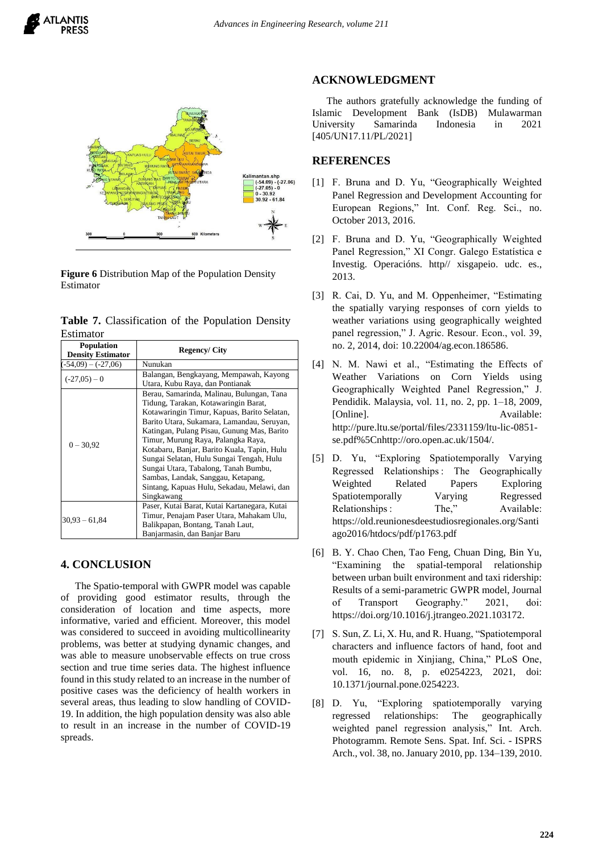



**Figure 6** Distribution Map of the Population Density Estimator

|           | Table 7. Classification of the Population Density |  |  |
|-----------|---------------------------------------------------|--|--|
| Estimator |                                                   |  |  |

| <b>Population</b><br><b>Density Estimator</b> | <b>Regency/City</b>                                                                                                                                                                                                                                                                                                                                                                                                                                                                                     |
|-----------------------------------------------|---------------------------------------------------------------------------------------------------------------------------------------------------------------------------------------------------------------------------------------------------------------------------------------------------------------------------------------------------------------------------------------------------------------------------------------------------------------------------------------------------------|
| $-54,09$ $-(-27,06)$                          | Nunukan                                                                                                                                                                                                                                                                                                                                                                                                                                                                                                 |
| $(-27.05) - 0$                                | Balangan, Bengkayang, Mempawah, Kayong<br>Utara, Kubu Raya, dan Pontianak                                                                                                                                                                                                                                                                                                                                                                                                                               |
| $0 - 30.92$                                   | Berau, Samarinda, Malinau, Bulungan, Tana<br>Tidung, Tarakan, Kotawaringin Barat,<br>Kotawaringin Timur, Kapuas, Barito Selatan,<br>Barito Utara, Sukamara, Lamandau, Seruyan,<br>Katingan, Pulang Pisau, Gunung Mas, Barito<br>Timur, Murung Raya, Palangka Raya,<br>Kotabaru, Banjar, Barito Kuala, Tapin, Hulu<br>Sungai Selatan, Hulu Sungai Tengah, Hulu<br>Sungai Utara, Tabalong, Tanah Bumbu,<br>Sambas, Landak, Sanggau, Ketapang,<br>Sintang, Kapuas Hulu, Sekadau, Melawi, dan<br>Singkawang |
| $30,93 - 61,84$                               | Paser, Kutai Barat, Kutai Kartanegara, Kutai<br>Timur, Penajam Paser Utara, Mahakam Ulu,<br>Balikpapan, Bontang, Tanah Laut,<br>Banjarmasin, dan Banjar Baru                                                                                                                                                                                                                                                                                                                                            |

## **4. CONCLUSION**

The Spatio-temporal with GWPR model was capable of providing good estimator results, through the consideration of location and time aspects, more informative, varied and efficient. Moreover, this model was considered to succeed in avoiding multicollinearity problems, was better at studying dynamic changes, and was able to measure unobservable effects on true cross section and true time series data. The highest influence found in this study related to an increase in the number of positive cases was the deficiency of health workers in several areas, thus leading to slow handling of COVID-19. In addition, the high population density was also able to result in an increase in the number of COVID-19 spreads.

#### **ACKNOWLEDGMENT**

The authors gratefully acknowledge the funding of Islamic Development Bank (IsDB) Mulawarman University Samarinda Indonesia in 2021 [405/UN17.11/PL/2021]

## **REFERENCES**

- [1] F. Bruna and D. Yu, "Geographically Weighted Panel Regression and Development Accounting for European Regions," Int. Conf. Reg. Sci., no. October 2013, 2016.
- [2] F. Bruna and D. Yu, "Geographically Weighted Panel Regression," XI Congr. Galego Estatística e Investig. Operacións. http// xisgapeio. udc. es., 2013.
- [3] R. Cai, D. Yu, and M. Oppenheimer, "Estimating the spatially varying responses of corn yields to weather variations using geographically weighted panel regression," J. Agric. Resour. Econ., vol. 39, no. 2, 2014, doi: 10.22004/ag.econ.186586.
- [4] N. M. Nawi et al., "Estimating the Effects of Weather Variations on Corn Yields using Geographically Weighted Panel Regression," J. Pendidik. Malaysia, vol. 11, no. 2, pp. 1–18, 2009, [Online]. Available: http://pure.ltu.se/portal/files/2331159/ltu-lic-0851 se.pdf%5Cnhttp://oro.open.ac.uk/1504/.
- [5] D. Yu, "Exploring Spatiotemporally Varying Regressed Relationships : The Geographically Weighted Related Papers Exploring Spatiotemporally Varying Regressed Relationships : The," Available: https://old.reunionesdeestudiosregionales.org/Santi ago2016/htdocs/pdf/p1763.pdf
- [6] B. Y. Chao Chen, Tao Feng, Chuan Ding, Bin Yu, "Examining the spatial-temporal relationship between urban built environment and taxi ridership: Results of a semi-parametric GWPR model, Journal of Transport Geography." 2021, doi: https://doi.org/10.1016/j.jtrangeo.2021.103172.
- [7] S. Sun, Z. Li, X. Hu, and R. Huang, "Spatiotemporal characters and influence factors of hand, foot and mouth epidemic in Xinjiang, China," PLoS One, vol. 16, no. 8, p. e0254223, 2021, doi: 10.1371/journal.pone.0254223.
- [8] D. Yu, "Exploring spatiotemporally varying regressed relationships: The geographically weighted panel regression analysis," Int. Arch. Photogramm. Remote Sens. Spat. Inf. Sci. - ISPRS Arch., vol. 38, no. January 2010, pp. 134–139, 2010.